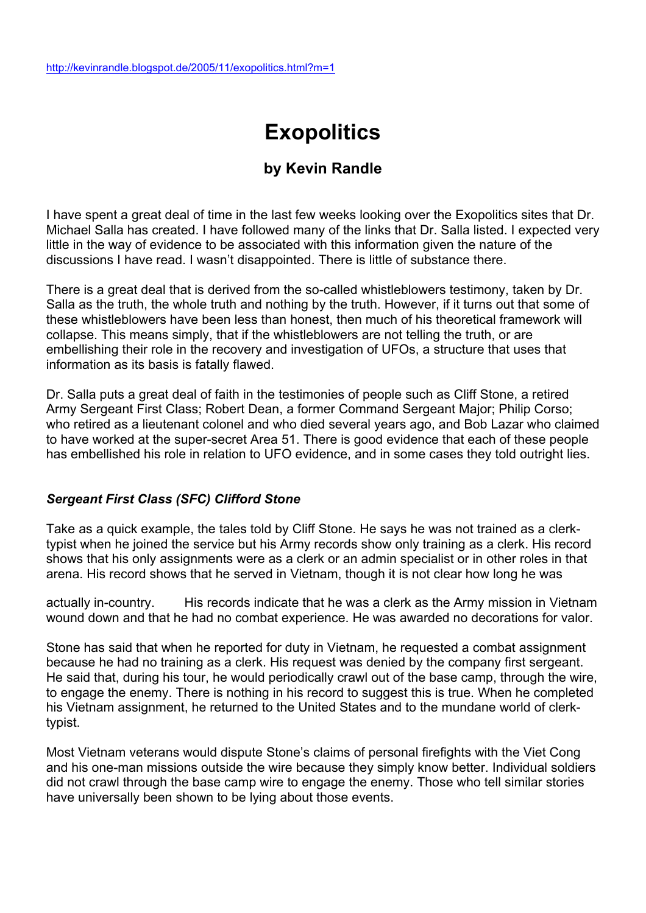# **Exopolitics**

## **by Kevin Randle**

I have spent a great deal of time in the last few weeks looking over the Exopolitics sites that Dr. Michael Salla has created. I have followed many of the links that Dr. Salla listed. I expected very little in the way of evidence to be associated with this information given the nature of the discussions I have read. I wasn't disappointed. There is little of substance there.

There is a great deal that is derived from the so-called whistleblowers testimony, taken by Dr. Salla as the truth, the whole truth and nothing by the truth. However, if it turns out that some of these whistleblowers have been less than honest, then much of his theoretical framework will collapse. This means simply, that if the whistleblowers are not telling the truth, or are embellishing their role in the recovery and investigation of UFOs, a structure that uses that information as its basis is fatally flawed.

Dr. Salla puts a great deal of faith in the testimonies of people such as Cliff Stone, a retired Army Sergeant First Class; Robert Dean, a former Command Sergeant Major; Philip Corso; who retired as a lieutenant colonel and who died several years ago, and Bob Lazar who claimed to have worked at the super-secret Area 51. There is good evidence that each of these people has embellished his role in relation to UFO evidence, and in some cases they told outright lies.

### *Sergeant First Class (SFC) Clifford Stone*

Take as a quick example, the tales told by Cliff Stone. He says he was not trained as a clerktypist when he joined the service but his Army records show only training as a clerk. His record shows that his only assignments were as a clerk or an admin specialist or in other roles in that arena. His record shows that he served in Vietnam, though it is not clear how long he was

actually in-country. His records indicate that he was a clerk as the Army mission in Vietnam wound down and that he had no combat experience. He was awarded no decorations for valor.

Stone has said that when he reported for duty in Vietnam, he requested a combat assignment because he had no training as a clerk. His request was denied by the company first sergeant. He said that, during his tour, he would periodically crawl out of the base camp, through the wire, to engage the enemy. There is nothing in his record to suggest this is true. When he completed his Vietnam assignment, he returned to the United States and to the mundane world of clerktypist.

Most Vietnam veterans would dispute Stone's claims of personal firefights with the Viet Cong and his one-man missions outside the wire because they simply know better. Individual soldiers did not crawl through the base camp wire to engage the enemy. Those who tell similar stories have universally been shown to be lying about those events.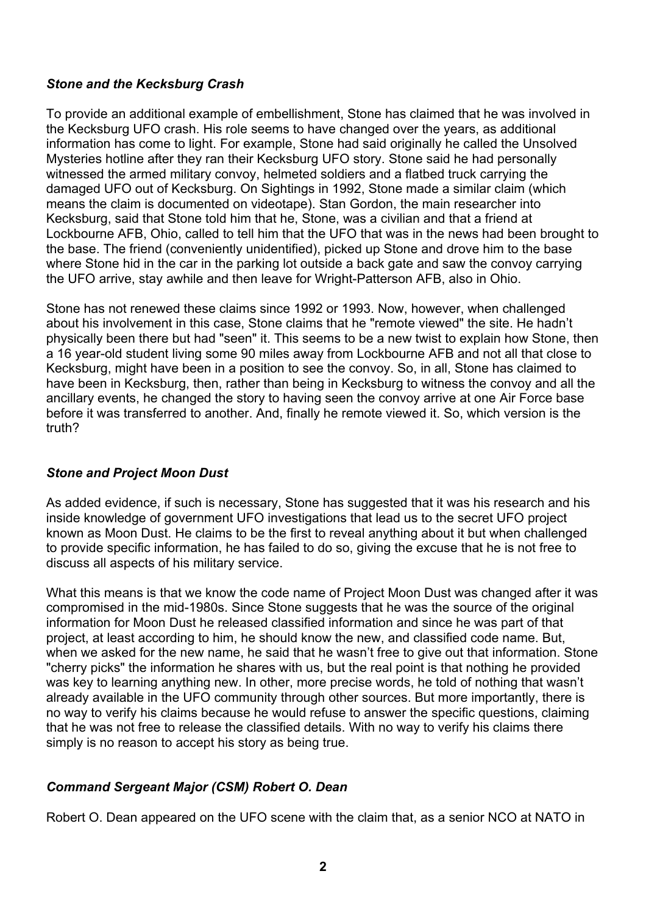#### *Stone and the Kecksburg Crash*

To provide an additional example of embellishment, Stone has claimed that he was involved in the Kecksburg UFO crash. His role seems to have changed over the years, as additional information has come to light. For example, Stone had said originally he called the Unsolved Mysteries hotline after they ran their Kecksburg UFO story. Stone said he had personally witnessed the armed military convoy, helmeted soldiers and a flatbed truck carrying the damaged UFO out of Kecksburg. On Sightings in 1992, Stone made a similar claim (which means the claim is documented on videotape). Stan Gordon, the main researcher into Kecksburg, said that Stone told him that he, Stone, was a civilian and that a friend at Lockbourne AFB, Ohio, called to tell him that the UFO that was in the news had been brought to the base. The friend (conveniently unidentified), picked up Stone and drove him to the base where Stone hid in the car in the parking lot outside a back gate and saw the convoy carrying the UFO arrive, stay awhile and then leave for Wright-Patterson AFB, also in Ohio.

Stone has not renewed these claims since 1992 or 1993. Now, however, when challenged about his involvement in this case, Stone claims that he "remote viewed" the site. He hadn't physically been there but had "seen" it. This seems to be a new twist to explain how Stone, then a 16 year-old student living some 90 miles away from Lockbourne AFB and not all that close to Kecksburg, might have been in a position to see the convoy. So, in all, Stone has claimed to have been in Kecksburg, then, rather than being in Kecksburg to witness the convoy and all the ancillary events, he changed the story to having seen the convoy arrive at one Air Force base before it was transferred to another. And, finally he remote viewed it. So, which version is the truth?

### *Stone and Project Moon Dust*

As added evidence, if such is necessary, Stone has suggested that it was his research and his inside knowledge of government UFO investigations that lead us to the secret UFO project known as Moon Dust. He claims to be the first to reveal anything about it but when challenged to provide specific information, he has failed to do so, giving the excuse that he is not free to discuss all aspects of his military service.

What this means is that we know the code name of Project Moon Dust was changed after it was compromised in the mid-1980s. Since Stone suggests that he was the source of the original information for Moon Dust he released classified information and since he was part of that project, at least according to him, he should know the new, and classified code name. But, when we asked for the new name, he said that he wasn't free to give out that information. Stone "cherry picks" the information he shares with us, but the real point is that nothing he provided was key to learning anything new. In other, more precise words, he told of nothing that wasn't already available in the UFO community through other sources. But more importantly, there is no way to verify his claims because he would refuse to answer the specific questions, claiming that he was not free to release the classified details. With no way to verify his claims there simply is no reason to accept his story as being true.

### *Command Sergeant Major (CSM) Robert O. Dean*

Robert O. Dean appeared on the UFO scene with the claim that, as a senior NCO at NATO in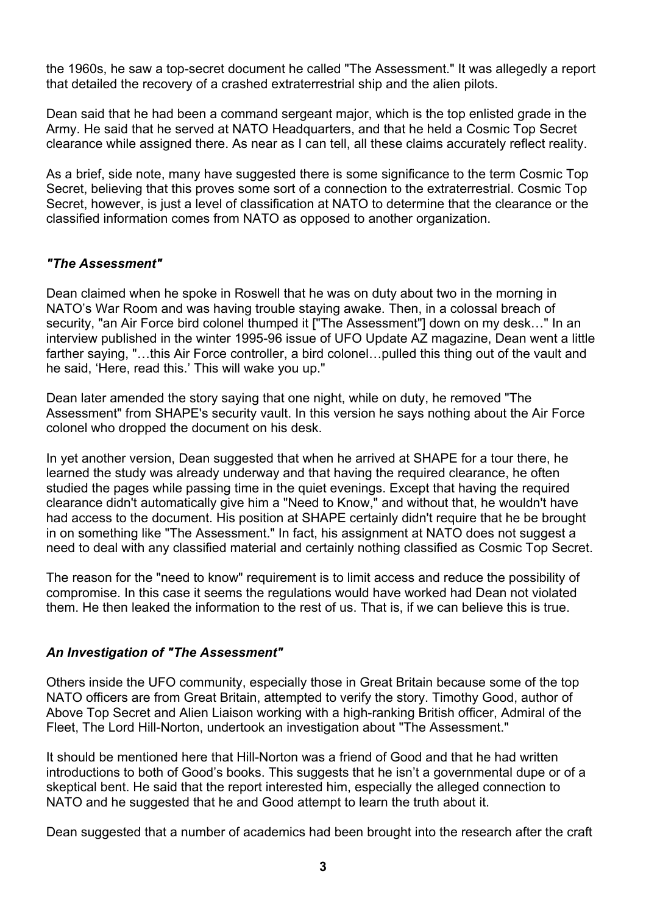the 1960s, he saw a top-secret document he called "The Assessment." It was allegedly a report that detailed the recovery of a crashed extraterrestrial ship and the alien pilots.

Dean said that he had been a command sergeant major, which is the top enlisted grade in the Army. He said that he served at NATO Headquarters, and that he held a Cosmic Top Secret clearance while assigned there. As near as I can tell, all these claims accurately reflect reality.

As a brief, side note, many have suggested there is some significance to the term Cosmic Top Secret, believing that this proves some sort of a connection to the extraterrestrial. Cosmic Top Secret, however, is just a level of classification at NATO to determine that the clearance or the classified information comes from NATO as opposed to another organization.

### *"The Assessment"*

Dean claimed when he spoke in Roswell that he was on duty about two in the morning in NATO's War Room and was having trouble staying awake. Then, in a colossal breach of security, "an Air Force bird colonel thumped it ["The Assessment"] down on my desk..." In an interview published in the winter 1995-96 issue of UFO Update AZ magazine, Dean went a little farther saying, "…this Air Force controller, a bird colonel…pulled this thing out of the vault and he said, 'Here, read this.' This will wake you up."

Dean later amended the story saying that one night, while on duty, he removed "The Assessment" from SHAPE's security vault. In this version he says nothing about the Air Force colonel who dropped the document on his desk.

In yet another version, Dean suggested that when he arrived at SHAPE for a tour there, he learned the study was already underway and that having the required clearance, he often studied the pages while passing time in the quiet evenings. Except that having the required clearance didn't automatically give him a "Need to Know," and without that, he wouldn't have had access to the document. His position at SHAPE certainly didn't require that he be brought in on something like "The Assessment." In fact, his assignment at NATO does not suggest a need to deal with any classified material and certainly nothing classified as Cosmic Top Secret.

The reason for the "need to know" requirement is to limit access and reduce the possibility of compromise. In this case it seems the regulations would have worked had Dean not violated them. He then leaked the information to the rest of us. That is, if we can believe this is true.

### *An Investigation of "The Assessment"*

Others inside the UFO community, especially those in Great Britain because some of the top NATO officers are from Great Britain, attempted to verify the story. Timothy Good, author of Above Top Secret and Alien Liaison working with a high-ranking British officer, Admiral of the Fleet, The Lord Hill-Norton, undertook an investigation about "The Assessment."

It should be mentioned here that Hill-Norton was a friend of Good and that he had written introductions to both of Good's books. This suggests that he isn't a governmental dupe or of a skeptical bent. He said that the report interested him, especially the alleged connection to NATO and he suggested that he and Good attempt to learn the truth about it.

Dean suggested that a number of academics had been brought into the research after the craft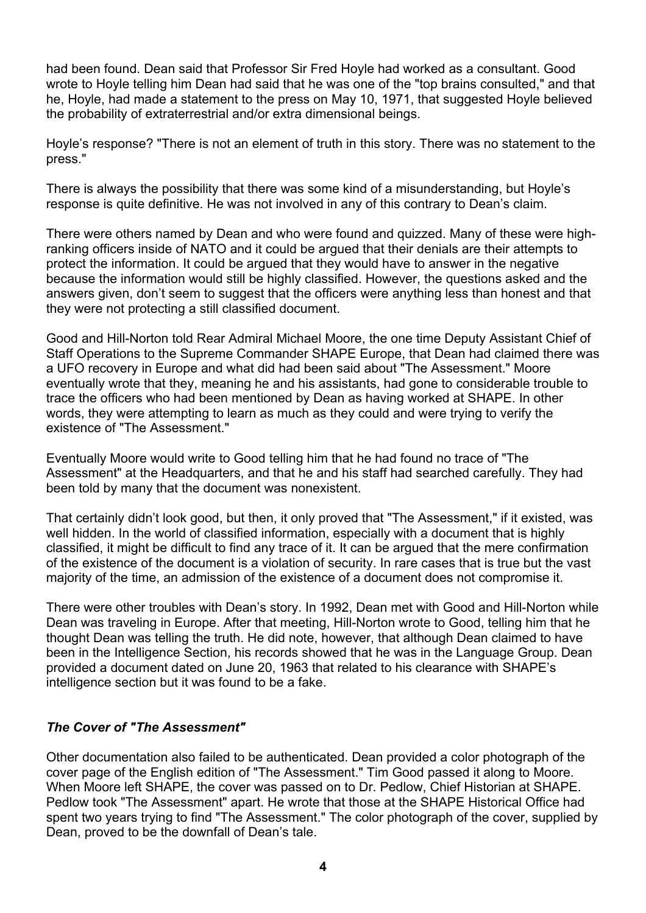had been found. Dean said that Professor Sir Fred Hoyle had worked as a consultant. Good wrote to Hoyle telling him Dean had said that he was one of the "top brains consulted," and that he, Hoyle, had made a statement to the press on May 10, 1971, that suggested Hoyle believed the probability of extraterrestrial and/or extra dimensional beings.

Hoyle's response? "There is not an element of truth in this story. There was no statement to the press."

There is always the possibility that there was some kind of a misunderstanding, but Hoyle's response is quite definitive. He was not involved in any of this contrary to Dean's claim.

There were others named by Dean and who were found and quizzed. Many of these were highranking officers inside of NATO and it could be argued that their denials are their attempts to protect the information. It could be argued that they would have to answer in the negative because the information would still be highly classified. However, the questions asked and the answers given, don't seem to suggest that the officers were anything less than honest and that they were not protecting a still classified document.

Good and Hill-Norton told Rear Admiral Michael Moore, the one time Deputy Assistant Chief of Staff Operations to the Supreme Commander SHAPE Europe, that Dean had claimed there was a UFO recovery in Europe and what did had been said about "The Assessment." Moore eventually wrote that they, meaning he and his assistants, had gone to considerable trouble to trace the officers who had been mentioned by Dean as having worked at SHAPE. In other words, they were attempting to learn as much as they could and were trying to verify the existence of "The Assessment."

Eventually Moore would write to Good telling him that he had found no trace of "The Assessment" at the Headquarters, and that he and his staff had searched carefully. They had been told by many that the document was nonexistent.

That certainly didn't look good, but then, it only proved that "The Assessment," if it existed, was well hidden. In the world of classified information, especially with a document that is highly classified, it might be difficult to find any trace of it. It can be argued that the mere confirmation of the existence of the document is a violation of security. In rare cases that is true but the vast majority of the time, an admission of the existence of a document does not compromise it.

There were other troubles with Dean's story. In 1992, Dean met with Good and Hill-Norton while Dean was traveling in Europe. After that meeting, Hill-Norton wrote to Good, telling him that he thought Dean was telling the truth. He did note, however, that although Dean claimed to have been in the Intelligence Section, his records showed that he was in the Language Group. Dean provided a document dated on June 20, 1963 that related to his clearance with SHAPE's intelligence section but it was found to be a fake.

### *The Cover of "The Assessment"*

Other documentation also failed to be authenticated. Dean provided a color photograph of the cover page of the English edition of "The Assessment." Tim Good passed it along to Moore. When Moore left SHAPE, the cover was passed on to Dr. Pedlow, Chief Historian at SHAPE. Pedlow took "The Assessment" apart. He wrote that those at the SHAPE Historical Office had spent two years trying to find "The Assessment." The color photograph of the cover, supplied by Dean, proved to be the downfall of Dean's tale.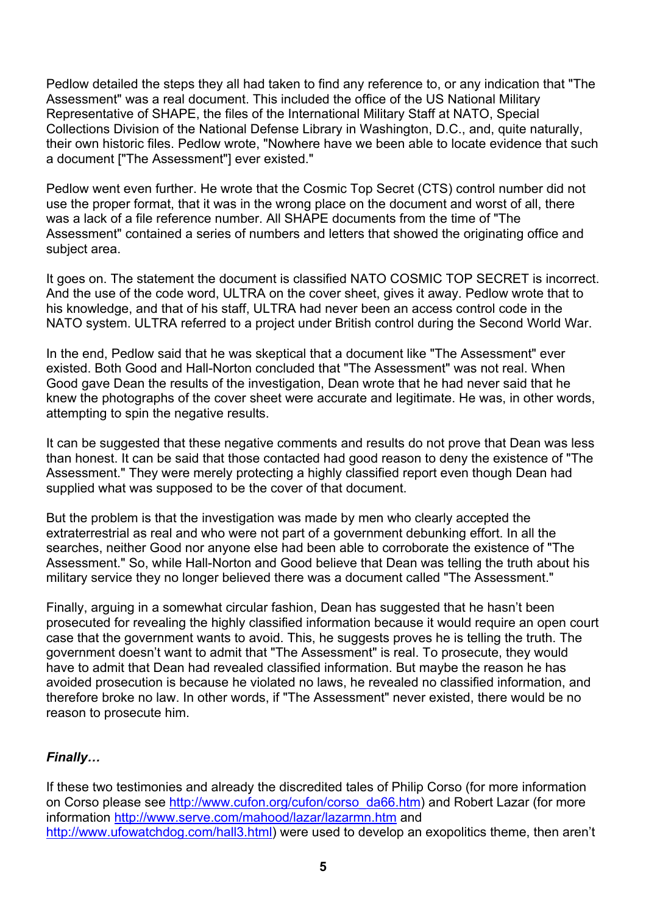Pedlow detailed the steps they all had taken to find any reference to, or any indication that "The Assessment" was a real document. This included the office of the US National Military Representative of SHAPE, the files of the International Military Staff at NATO, Special Collections Division of the National Defense Library in Washington, D.C., and, quite naturally, their own historic files. Pedlow wrote, "Nowhere have we been able to locate evidence that such a document ["The Assessment"] ever existed."

Pedlow went even further. He wrote that the Cosmic Top Secret (CTS) control number did not use the proper format, that it was in the wrong place on the document and worst of all, there was a lack of a file reference number. All SHAPE documents from the time of "The Assessment" contained a series of numbers and letters that showed the originating office and subject area.

It goes on. The statement the document is classified NATO COSMIC TOP SECRET is incorrect. And the use of the code word, ULTRA on the cover sheet, gives it away. Pedlow wrote that to his knowledge, and that of his staff, ULTRA had never been an access control code in the NATO system. ULTRA referred to a project under British control during the Second World War.

In the end, Pedlow said that he was skeptical that a document like "The Assessment" ever existed. Both Good and Hall-Norton concluded that "The Assessment" was not real. When Good gave Dean the results of the investigation, Dean wrote that he had never said that he knew the photographs of the cover sheet were accurate and legitimate. He was, in other words, attempting to spin the negative results.

It can be suggested that these negative comments and results do not prove that Dean was less than honest. It can be said that those contacted had good reason to deny the existence of "The Assessment." They were merely protecting a highly classified report even though Dean had supplied what was supposed to be the cover of that document.

But the problem is that the investigation was made by men who clearly accepted the extraterrestrial as real and who were not part of a government debunking effort. In all the searches, neither Good nor anyone else had been able to corroborate the existence of "The Assessment." So, while Hall-Norton and Good believe that Dean was telling the truth about his military service they no longer believed there was a document called "The Assessment."

Finally, arguing in a somewhat circular fashion, Dean has suggested that he hasn't been prosecuted for revealing the highly classified information because it would require an open court case that the government wants to avoid. This, he suggests proves he is telling the truth. The government doesn't want to admit that "The Assessment" is real. To prosecute, they would have to admit that Dean had revealed classified information. But maybe the reason he has avoided prosecution is because he violated no laws, he revealed no classified information, and therefore broke no law. In other words, if "The Assessment" never existed, there would be no reason to prosecute him.

### *Finally…*

If these two testimonies and already the discredited tales of Philip Corso (for more information on Corso please see http://www.cufon.org/cufon/corso\_da66.htm) and Robert Lazar (for more information http://www.serve.com/mahood/lazar/lazarmn.htm and http://www.ufowatchdog.com/hall3.html) were used to develop an exopolitics theme, then aren't